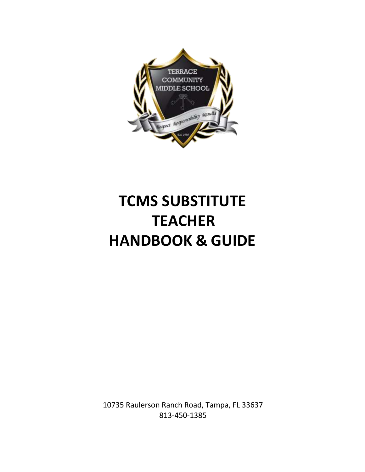

# **TCMS SUBSTITUTE TEACHER HANDBOOK & GUIDE**

10735 Raulerson Ranch Road, Tampa, FL 33637 813-450-1385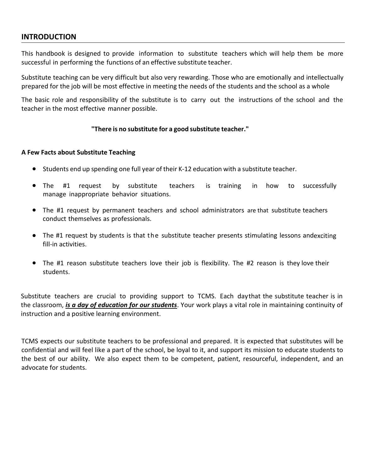# **INTRODUCTION**

This handbook is designed to provide information to substitute teachers which will help them be more successful in performing the functions of an effective substitute teacher.

Substitute teaching can be very difficult but also very rewarding. Those who are emotionally and intellectually prepared for the job will be most effective in meeting the needs of the students and the school as a whole

The basic role and responsibility of the substitute is to carry out the instructions of the school and the teacher in the most effective manner possible.

## **"There is no substitute for a good substitute teacher."**

### **A Few Facts about Substitute Teaching**

- Students end up spending one full year of their K-12 education with a substitute teacher.
- The #1 request by substitute teachers is training in how to successfully manage inappropriate behavior situations.
- The #1 request by permanent teachers and school administrators are that substitute teachers conduct themselves as professionals.
- The #1 request by students is that the substitute teacher presents stimulating lessons andexciting fill-in activities.
- The #1 reason substitute teachers love their job is flexibility. The #2 reason is they love their students.

Substitute teachers are crucial to providing support to TCMS. Each daythat the substitute teacher is in the classroom, *is a day of education for our students*. Your work plays a vital role in maintaining continuity of instruction and a positive learning environment.

TCMS expects our substitute teachers to be professional and prepared. It is expected that substitutes will be confidential and will feel like a part of the school, be loyal to it, and support its mission to educate students to the best of our ability. We also expect them to be competent, patient, resourceful, independent, and an advocate for students.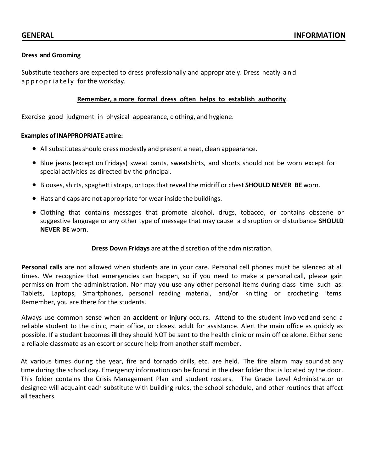#### **Dress and Grooming**

Substitute teachers are expected to dress professionally and appropriately. Dress neatly a n d a p p r o p r i a t e l y for the workday.

#### **Remember, a more formal dress often helps to establish authority**.

Exercise good judgment in physical appearance, clothing, and hygiene.

#### **Examples of INAPPROPRIATE attire:**

- All substitutes should dress modestly and present a neat, clean appearance.
- Blue jeans (except on Fridays) sweat pants, sweatshirts, and shorts should not be worn except for special activities as directed by the principal.
- Blouses,shirts, spaghetti straps, or topsthat reveal the midriff or chest **SHOULD NEVER BE** worn.
- Hats and caps are not appropriate for wear inside the buildings.
- Clothing that contains messages that promote alcohol, drugs, tobacco, or contains obscene or suggestive language or any other type of message that may cause a disruption or disturbance **SHOULD NEVER BE** worn.

#### **Dress Down Fridays** are at the discretion of the administration.

**Personal calls** are not allowed when students are in your care. Personal cell phones must be silenced at all times. We recognize that emergencies can happen, so if you need to make a personal call, please gain permission from the administration. Nor may you use any other personal items during class time such as: Tablets, Laptops, Smartphones, personal reading material, and/or knitting or crocheting items. Remember, you are there for the students.

Always use common sense when an **accident** or **injury** occurs**.** Attend to the student involved and send a reliable student to the clinic, main office, or closest adult for assistance. Alert the main office as quickly as possible. If a student becomes **ill** they should NOT be sent to the health clinic or main office alone. Either send a reliable classmate as an escort or secure help from another staff member.

At various times during the year, fire and tornado drills, etc. are held. The fire alarm may soundat any time during the school day. Emergency information can be found in the clear folder that is located by the door. This folder contains the Crisis Management Plan and student rosters. The Grade Level Administrator or designee will acquaint each substitute with building rules, the school schedule, and other routines that affect all teachers.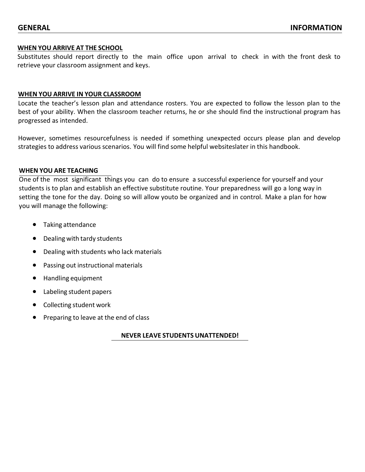#### **WHEN YOU ARRIVE AT THE SCHOOL**

Substitutes should report directly to the main office upon arrival to check in with the front desk to retrieve your classroom assignment and keys.

#### **WHEN YOU ARRIVE IN YOUR CLASSROOM**

Locate the teacher's lesson plan and attendance rosters. You are expected to follow the lesson plan to the best of your ability. When the classroom teacher returns, he or she should find the instructional program has progressed as intended.

However, sometimes resourcefulness is needed if something unexpected occurs please plan and develop strategies to address various scenarios. You will find some helpful websiteslater in this handbook.

#### **WHEN YOU ARE TEACHING**

One of the most significant things you can do to ensure a successful experience for yourself and your students is to plan and establish an effective substitute routine. Your preparedness will go a long way in setting the tone for the day. Doing so will allow youto be organized and in control. Make a plan for how you will manage the following:

- Taking attendance
- Dealing with tardy students
- Dealing with students who lack materials
- Passing out instructional materials
- Handling equipment
- Labeling student papers
- Collecting student work
- Preparing to leave at the end of class

#### **NEVER LEAVE STUDENTS UNATTENDED!**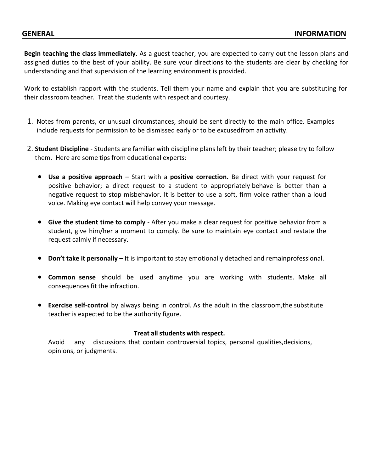**Begin teaching the class immediately**. As a guest teacher, you are expected to carry out the lesson plans and assigned duties to the best of your ability. Be sure your directions to the students are clear by checking for understanding and that supervision of the learning environment is provided.

Work to establish rapport with the students. Tell them your name and explain that you are substituting for their classroom teacher. Treat the students with respect and courtesy.

- 1. Notes from parents, or unusual circumstances, should be sent directly to the main office. Examples include requests for permission to be dismissed early or to be excusedfrom an activity.
- 2. **Student Discipline**  Students are familiar with discipline plans left by their teacher; please try to follow them. Here are some tips from educational experts:
	- **Use a positive approach**  Start with a **positive correction.** Be direct with your request for positive behavior; a direct request to a student to appropriately behave is better than a negative request to stop misbehavior. It is better to use a soft, firm voice rather than a loud voice. Making eye contact will help convey your message.
	- **Give the student time to comply**  After you make a clear request for positive behavior from a student, give him/her a moment to comply. Be sure to maintain eye contact and restate the request calmly if necessary.
	- **Don't take it personally**  It is important to stay emotionally detached and remainprofessional.
	- **Common sense** should be used anytime you are working with students. Make all consequences fit the infraction.
	- **Exercise self‐control** by always being in control. As the adult in the classroom,the substitute teacher is expected to be the authority figure.

### **Treat allstudents with respect.**

Avoid any discussions that contain controversial topics, personal qualities,decisions, opinions, or judgments.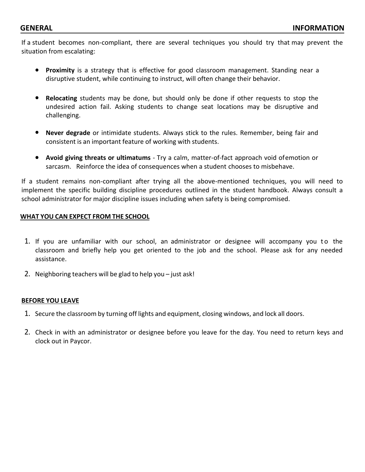If a student becomes non-compliant, there are several techniques you should try that may prevent the situation from escalating:

- **Proximity** is a strategy that is effective for good classroom management. Standing near a disruptive student, while continuing to instruct, will often change their behavior.
- **Relocating** students may be done, but should only be done if other requests to stop the undesired action fail. Asking students to change seat locations may be disruptive and challenging.
- **Never degrade** or intimidate students. Always stick to the rules. Remember, being fair and consistent is an important feature of working with students.
- **Avoid giving threats or ultimatums** Try a calm, matter-of-fact approach void ofemotion or sarcasm. Reinforce the idea of consequences when a student chooses to misbehave.

If a student remains non-compliant after trying all the above-mentioned techniques, you will need to implement the specific building discipline procedures outlined in the student handbook. Always consult a school administrator for major discipline issues including when safety is being compromised.

#### **WHAT YOU CAN EXPECT FROM THE SCHOOL**

- 1. If you are unfamiliar with our school, an administrator or designee will accompany you to the classroom and briefly help you get oriented to the job and the school. Please ask for any needed assistance.
- 2. Neighboring teachers will be glad to help you just ask!

#### **BEFORE YOU LEAVE**

- 1. Secure the classroom by turning off lights and equipment, closing windows, and lock all doors.
- 2. Check in with an administrator or designee before you leave for the day. You need to return keys and clock out in Paycor.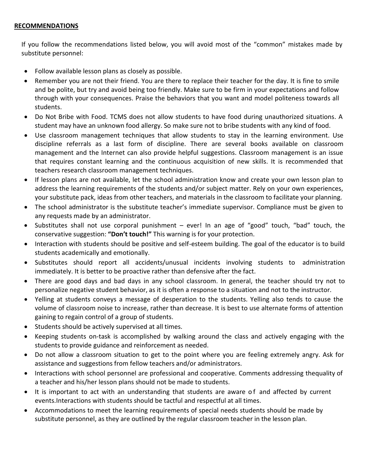### **RECOMMENDATIONS**

If you follow the recommendations listed below, you will avoid most of the "common" mistakes made by substitute personnel:

- Follow available lesson plans as closely as possible.
- Remember you are not their friend. You are there to replace their teacher for the day. It is fine to smile and be polite, but try and avoid being too friendly. Make sure to be firm in your expectations and follow through with your consequences. Praise the behaviors that you want and model politeness towards all students.
- Do Not Bribe with Food. TCMS does not allow students to have food during unauthorized situations. A student may have an unknown food allergy. So make sure not to bribe students with any kind of food.
- Use classroom management techniques that allow students to stay in the learning environment. Use discipline referrals as a last form of discipline. There are several books available on classroom management and the Internet can also provide helpful suggestions. Classroom management is an issue that requires constant learning and the continuous acquisition of new skills. It is recommended that teachers research classroom management techniques.
- If lesson plans are not available, let the school administration know and create your own lesson plan to address the learning requirements of the students and/or subject matter. Rely on your own experiences, your substitute pack, ideas from other teachers, and materials in the classroom to facilitate your planning.
- The school administrator is the substitute teacher's immediate supervisor. Compliance must be given to any requests made by an administrator.
- Substitutes shall not use corporal punishment ever! In an age of "good" touch, "bad" touch, the conservative suggestion: **"Don't touch!"** This warning is for your protection.
- Interaction with students should be positive and self-esteem building. The goal of the educator is to build students academically and emotionally.
- Substitutes should report all accidents/unusual incidents involving students to administration immediately. It is better to be proactive rather than defensive after the fact.
- There are good days and bad days in any school classroom. In general, the teacher should try not to personalize negative student behavior, as it is often a response to a situation and not to the instructor.
- Yelling at students conveys a message of desperation to the students. Yelling also tends to cause the volume of classroom noise to increase, rather than decrease. It is best to use alternate forms of attention gaining to regain control of a group of students.
- Students should be actively supervised at all times.
- Keeping students on-task is accomplished by walking around the class and actively engaging with the students to provide guidance and reinforcement as needed.
- Do not allow a classroom situation to get to the point where you are feeling extremely angry. Ask for assistance and suggestions from fellow teachers and/or administrators.
- Interactions with school personnel are professional and cooperative. Comments addressing thequality of a teacher and his/her lesson plans should not be made to students.
- It is important to act with an understanding that students are aware of and affected by current events.Interactions with students should be tactful and respectful at all times.
- Accommodations to meet the learning requirements of special needs students should be made by substitute personnel, as they are outlined by the regular classroom teacher in the lesson plan.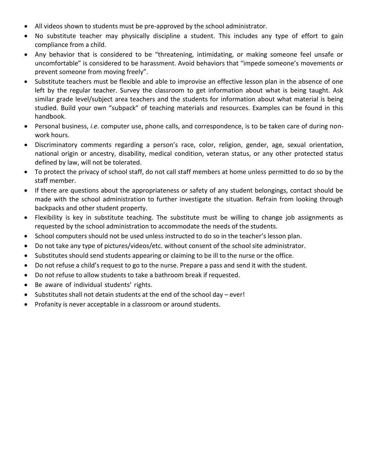- All videos shown to students must be pre-approved by the school administrator.
- No substitute teacher may physically discipline a student. This includes any type of effort to gain compliance from a child.
- Any behavior that is considered to be "threatening, intimidating, or making someone feel unsafe or uncomfortable" is considered to be harassment. Avoid behaviors that "impede someone's movements or prevent someone from moving freely".
- Substitute teachers must be flexible and able to improvise an effective lesson plan in the absence of one left by the regular teacher. Survey the classroom to get information about what is being taught. Ask similar grade level/subject area teachers and the students for information about what material is being studied. Build your own "subpack" of teaching materials and resources. Examples can be found in this handbook.
- Personal business, *i.e*. computer use, phone calls, and correspondence, is to be taken care of during nonwork hours.
- Discriminatory comments regarding a person's race, color, religion, gender, age, sexual orientation, national origin or ancestry, disability, medical condition, veteran status, or any other protected status defined by law, will not be tolerated.
- To protect the privacy of school staff, do not call staff members at home unless permitted to do so by the staff member.
- If there are questions about the appropriateness or safety of any student belongings, contact should be made with the school administration to further investigate the situation. Refrain from looking through backpacks and other student property.
- Flexibility is key in substitute teaching. The substitute must be willing to change job assignments as requested by the school administration to accommodate the needs of the students.
- School computers should not be used unless instructed to do so in the teacher's lesson plan.
- Do not take any type of pictures/videos/etc. without consent of the school site administrator.
- Substitutes should send students appearing or claiming to be ill to the nurse or the office.
- Do not refuse a child's request to go to the nurse. Prepare a pass and send it with the student.
- Do not refuse to allow students to take a bathroom break if requested.
- Be aware of individual students' rights.
- Substitutes shall not detain students at the end of the school day ever!
- Profanity is never acceptable in a classroom or around students.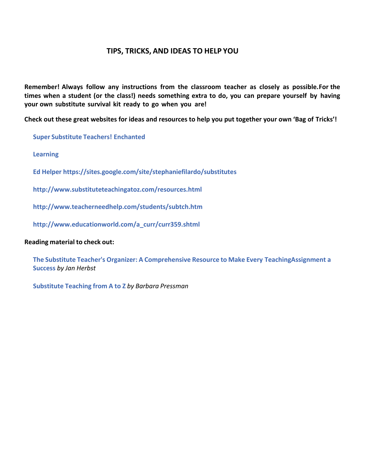# **TIPS, TRICKS, AND IDEAS TO HELP YOU**

**Remember! Always follow any instructions from the classroom teacher as closely as possible.For the times when a student (or the class!) needs something extra to do, you can prepare yourself by having your own substitute survival kit ready to go when you are!**

**Check out these great websites for ideas and resources to help you put together your own 'Bag of Tricks'!**

**Super [Substitute](http://www.supersubstituteteachers.com/) Teachers! [Enchanted](http://www.supersubstituteteachers.com/)**

**[Learnin](http://www.enchantedlearning.com/Home.html)g**

**[Ed Helper https://sites.google.com/site/stephaniefilardo/substitutes](http://www.edhelper.com/)**

**<http://www.substituteteachingatoz.com/resources.html>**

**<http://www.teacherneedhelp.com/students/subtch.htm>**

**[http://www.educationworld.com/a\\_curr/curr359.shtml](http://www.educationworld.com/a_curr/curr359.shtml)**

#### **Reading material to check out:**

**The Substitute Teacher's Organizer: A [Comprehensive](http://www.brighthub.com/link/header.aspx?u=http%3a%2f%2fwww.amazon.com%2fSubstitute-Teachers-Organizer-Comprehensive-Assignment%2fdp%2f1574717952%2fref%3dsr_1_1%3fie%3dUTF8%26s%3dbooks%26qid%3d1216317901%26sr%3d8-1%26tag%3dbrihub02-20&%3Bp=2659&%3BreturnUrl=%2feducation%2fk-12%2farticles%2f2659.aspx) Resource to Make Every [TeachingAssignment](http://www.brighthub.com/link/header.aspx?u=http%3a%2f%2fwww.amazon.com%2fSubstitute-Teachers-Organizer-Comprehensive-Assignment%2fdp%2f1574717952%2fref%3dsr_1_1%3fie%3dUTF8%26s%3dbooks%26qid%3d1216317901%26sr%3d8-1%26tag%3dbrihub02-20&%3Bp=2659&%3BreturnUrl=%2feducation%2fk-12%2farticles%2f2659.aspx) a [Success](http://www.brighthub.com/link/header.aspx?u=http%3a%2f%2fwww.amazon.com%2fSubstitute-Teachers-Organizer-Comprehensive-Assignment%2fdp%2f1574717952%2fref%3dsr_1_1%3fie%3dUTF8%26s%3dbooks%26qid%3d1216317901%26sr%3d8-1%26tag%3dbrihub02-20&%3Bp=2659&%3BreturnUrl=%2feducation%2fk-12%2farticles%2f2659.aspx)** *by Jan Herbst*

**[Substitute](http://www.brighthub.com/link/header.aspx?u=http%3a%2f%2fwww.amazon.com%2fSubstitute-Teaching-Z-Barbara-Pressman%2fdp%2f0071496327%2fref%3dsr_1_1%3fie%3dUTF8%26s%3dbooks%26qid%3d1216317971%26sr%3d1-1%26tag%3dbrihub02-20&%3Bp=2659&%3BreturnUrl=%2feducation%2fk-12%2farticles%2f2659.aspx) Teaching from A to Z** *by Barbara Pressman*